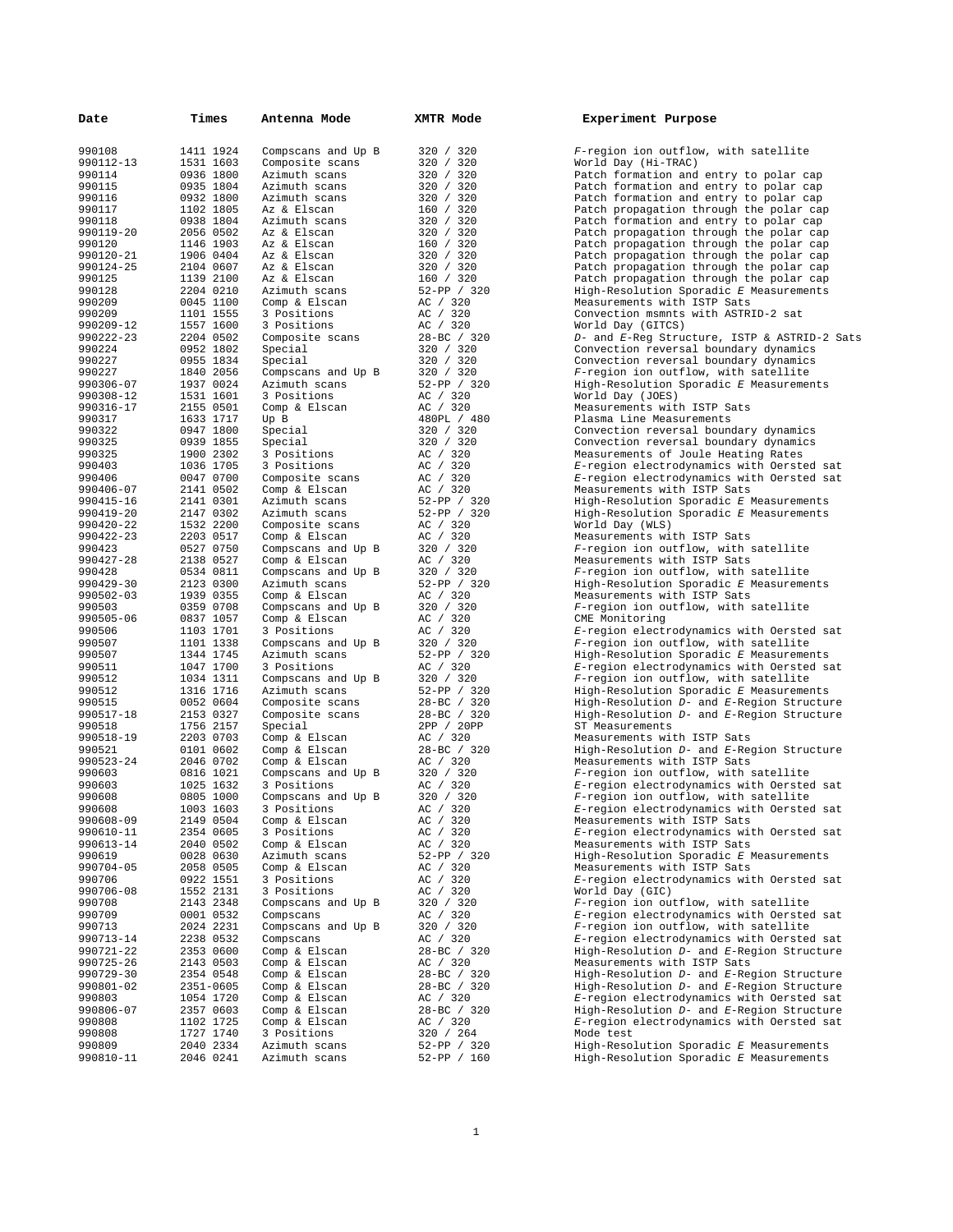| Date                | Times                  | Antenna Mode                 | XMTR Mode                     | Experiment Purpose                                                                |
|---------------------|------------------------|------------------------------|-------------------------------|-----------------------------------------------------------------------------------|
| 990108              | 1411 1924              | Compscans and Up B           | 320 / 320                     | F-region ion outflow, with satellite                                              |
| 990112-13           | 1531 1603              | Composite scans              | 320 / 320                     | World Day (Hi-TRAC)                                                               |
| 990114              | 0936 1800              | Azimuth scans                | 320 / 320                     | Patch formation and entry to polar cap                                            |
| 990115              | 0935 1804              | Azimuth scans                | 320 / 320                     | Patch formation and entry to polar cap                                            |
| 990116<br>990117    | 0932 1800<br>1102 1805 | Azimuth scans<br>Az & Elscan | 320 / 320<br>160 / 320        | Patch formation and entry to polar cap                                            |
| 990118              | 0938 1804              | Azimuth scans                | 320 / 320                     | Patch propagation through the polar cap<br>Patch formation and entry to polar cap |
| 990119-20           | 2056 0502              | Az & Elscan                  | 320 / 320                     | Patch propagation through the polar cap                                           |
| 990120              | 1146 1903              | Az & Elscan                  | 160 / 320                     | Patch propagation through the polar cap                                           |
| 990120-21           | 1906 0404              | Az & Elscan                  | 320 / 320                     | Patch propagation through the polar cap                                           |
| 990124-25           | 2104 0607              | Az & Elscan                  | 320 / 320                     | Patch propagation through the polar cap                                           |
| 990125              | 1139 2100              | Az & Elscan                  | 160 / 320                     | Patch propagation through the polar cap                                           |
| 990128              | 2204 0210              | Azimuth scans                | 52-PP / 320                   | High-Resolution Sporadic E Measurements                                           |
| 990209              | 0045 1100              | Comp & Elscan                | AC / 320                      | Measurements with ISTP Sats                                                       |
| 990209              | 1101 1555              | 3 Positions                  | AC / 320                      | Convection msmnts with ASTRID-2 sat                                               |
| 990209-12           | 1557 1600              | 3 Positions                  | AC / 320                      | World Day (GITCS)                                                                 |
| 990222-23           | 2204 0502              | Composite scans              | 28-BC / 320                   | D- and E-Reg Structure, ISTP & ASTRID-2 S                                         |
| 990224              | 0952 1802              | Special                      | 320 / 320                     | Convection reversal boundary dynamics                                             |
| 990227              | 0955 1834              | Special                      | 320 / 320                     | Convection reversal boundary dynamics                                             |
| 990227              | 1840 2056              | Compscans and Up B           | 320 / 320                     | F-region ion outflow, with satellite                                              |
| 990306-07           | 1937 0024              | Azimuth scans                | 52-PP / 320                   | High-Resolution Sporadic E Measurements                                           |
| 990308-12           | 1531 1601              | 3 Positions                  | AC / 320                      | World Day (JOES)                                                                  |
| 990316-17           | 2155 0501              | Comp & Elscan                | AC / 320                      | Measurements with ISTP Sats                                                       |
| 990317<br>990322    | 1633 1717              | Up B                         | 480PL / 480                   | Plasma Line Measurements                                                          |
| 990325              | 0947 1800<br>0939 1855 | Special<br>Special           | 320 / 320<br>320 / 320        | Convection reversal boundary dynamics<br>Convection reversal boundary dynamics    |
| 990325              | 1900 2302              | 3 Positions                  | AC / 320                      | Measurements of Joule Heating Rates                                               |
| 990403              | 1036 1705              | 3 Positions                  | AC / 320                      | E-region electrodynamics with Oersted sat                                         |
| 990406              | 0047 0700              | Composite scans              | AC / 320                      | E-region electrodynamics with Oersted sat                                         |
| 990406-07           | 2141 0502              | Comp & Elscan                | AC / 320                      | Measurements with ISTP Sats                                                       |
| 990415-16           | 2141 0301              | Azimuth scans                | 52-PP / 320                   | High-Resolution Sporadic E Measurements                                           |
| 990419-20           | 2147 0302              | Azimuth scans                | 52-PP / 320                   | High-Resolution Sporadic E Measurements                                           |
| 990420-22           | 1532 2200              | Composite scans              | AC / 320                      | World Day (WLS)                                                                   |
| 990422-23           | 2203 0517              | Comp & Elscan                | AC / 320                      | Measurements with ISTP Sats                                                       |
| 990423              | 0527 0750              | Compscans and Up B           | 320 / 320                     | F-region ion outflow, with satellite                                              |
| 990427-28           | 2138 0527              | Comp & Elscan                | AC / 320                      | Measurements with ISTP Sats                                                       |
| 990428              | 0534 0811              | Compscans and Up B           | 320 / 320                     | F-region ion outflow, with satellite                                              |
| 990429-30           | 2123 0300              | Azimuth scans                | $52-PP$ / 320                 | High-Resolution Sporadic E Measurements                                           |
| 990502-03           | 1939 0355              | Comp & Elscan                | AC / 320                      | Measurements with ISTP Sats                                                       |
| 990503              | 0359 0708              | Compscans and Up B           | 320 / 320                     | F-region ion outflow, with satellite                                              |
| 990505-06           | 0837 1057              | Comp & Elscan                | AC / 320                      | CME Monitoring                                                                    |
| 990506              | 1103 1701              | 3 Positions                  | AC / 320                      | E-region electrodynamics with Oersted sat                                         |
| 990507              | 1101 1338              | Compscans and Up B           | 320 / 320                     | F-region ion outflow, with satellite                                              |
| 990507              | 1344 1745              | Azimuth scans                | 52-PP / 320                   | High-Resolution Sporadic E Measurements                                           |
| 990511              | 1047 1700              | 3 Positions                  | AC / 320                      | E-region electrodynamics with Oersted sat                                         |
| 990512              | 1034 1311              | Compscans and Up B           | 320 / 320                     | F-region ion outflow, with satellite                                              |
| 990512              | 1316 1716              | Azimuth scans                | $52-PP$ / 320                 | High-Resolution Sporadic E Measurements                                           |
| 990515<br>990517-18 | 0052 0604              | Composite scans              | 28-BC / 320                   | High-Resolution D- and E-Region Structure                                         |
| 990518              | 2153 0327<br>1756 2157 | Composite scans<br>Special   | $28 - BC$ / 320<br>2PP / 20PP | High-Resolution D- and E-Region Structure<br>ST Measurements                      |
| 990518-19           | 2203 0703              | Comp & Elscan                | AC / 320                      | Measurements with ISTP Sats                                                       |
| 990521              | 0101 0602              | Comp & Elscan                | $28 - BC$ / 320               | High-Resolution D- and E-Region Structure                                         |
| 990523-24           | 2046 0702              | Comp & Elscan                | AC / 320                      | Measurements with ISTP Sats                                                       |
| 990603              | 0816 1021              | Compscans and Up B           | 320 / 320                     | F-region ion outflow, with satellite                                              |
| 990603              | 1025 1632              | 3 Positions                  | AC / 320                      | E-region electrodynamics with Oersted sat                                         |
| 990608              | 0805 1000              | Compscans and Up B           | 320 / 320                     | F-region ion outflow, with satellite                                              |
| 990608              | 1003 1603              | 3 Positions                  | AC / 320                      | E-region electrodynamics with Oersted sat                                         |
| 990608-09           | 2149 0504              | Comp & Elscan                | AC / 320                      | Measurements with ISTP Sats                                                       |
| 990610-11           | 2354 0605              | 3 Positions                  | AC / 320                      | E-region electrodynamics with Oersted sat                                         |
| 990613-14           | 2040 0502              | Comp & Elscan                | AC / 320                      | Measurements with ISTP Sats                                                       |
| 990619              | 0028 0630              | Azimuth scans                | 52-PP / 320                   | High-Resolution Sporadic E Measurements                                           |
| 990704-05           | 2058 0505              | Comp & Elscan                | AC / 320                      | Measurements with ISTP Sats                                                       |
| 990706              | 0922 1551              | 3 Positions                  | AC / 320                      | E-region electrodynamics with Oersted sat                                         |
| 990706-08           | 1552 2131              | 3 Positions                  | AC / 320                      | World Day (GIC)                                                                   |
| 990708              | 2143 2348              | Compscans and Up B           | 320 / 320                     | F-region ion outflow, with satellite                                              |
| 990709              | 0001 0532              | Compscans                    | AC / 320                      | E-region electrodynamics with Oersted sat                                         |
| 990713              | 2024 2231              | Compscans and Up B           | 320 / 320                     | F-region ion outflow, with satellite                                              |
| 990713-14           | 2238 0532              | Compscans                    | AC / 320                      | E-region electrodynamics with Oersted sat                                         |
| 990721-22           | 2353 0600              | Comp & Elscan                | 28-BC / 320                   | High-Resolution D- and E-Region Structure                                         |
| 990725-26           | 2143 0503              | Comp & Elscan                | AC / 320                      | Measurements with ISTP Sats                                                       |
| 990729-30           | 2354 0548              | Comp & Elscan                | 28-BC / 320                   | High-Resolution D- and E-Region Structure                                         |
| 990801-02           | 2351-0605              | Comp & Elscan                | 28-BC / 320                   | High-Resolution D- and E-Region Structure                                         |
| 990803              | 1054 1720              | Comp & Elscan                | AC / 320                      | E-region electrodynamics with Oersted sat                                         |
| 990806-07           | 2357 0603              | Comp & Elscan                | 28-BC / 320                   | High-Resolution D- and E-Region Structure                                         |
| 990808              | 1102 1725              | Comp & Elscan                | AC / 320                      | E-region electrodynamics with Oersted sat                                         |
| 990808              | 1727 1740              | 3 Positions                  | 320 / 264                     | Mode test                                                                         |
| 990809              | 2040 2334              | Azimuth scans                | 52-PP / 320                   | High-Resolution Sporadic E Measurements                                           |
| 990810-11           | 2046 0241              | Azimuth scans                | 52-PP / 160                   | High-Resolution Sporadic E Measurements                                           |

| Experiment Purpose |  |
|--------------------|--|
|--------------------|--|

90108 *F*-region ion outflow, with satellite<br>20 **F-**region ion outflow, with satellite 990112-13 1531 1603 Composite scans 320 / 320 World Day (Hi-TRAC) 990114 1936 1936 1936 1940 Patch formation and entry to polar cap<br>20 120 Patch formation and entry to polar cap 900115 1805 1804 2001 2001 Patch formation and entry to polar cap<br>20 120 Patch formation and entry to polar cap 900116 16 1932 1800 Patch formation and entry to polar cap<br>20 1800 Patch propagation through the polar cap 99011112 12001117 1102 1806 Patch propagation through the polar cap<br>1710 1711 1805 Patch formation and entry to polar cap 20 1991 Patch formation and entry to polar cap<br>20 1945 1810 Patch propagation through the polar cap 9001190119-20 20<br>2011 2056 Patch propagation through the polar cap ed 120 120 1205 Patch propagation through the polar cap<br>20 120 Patch propagation through the polar cap 99012001200120-2001 2006 Patch propagation through the polar cap<br>20 20 Patch propagation through the polar cap 990124-25 2104 0607 Az & Elscan 320 / 320 Patch propagation through the polar cap 990125 1000 Patch propagation through the polar cap<br>9901 1900 High-Resolution Sporadic E Measurements High-Resolution Sporadic *E* Measurements 99020 1100 Deasurements with ISTP Sats<br>1991 1220 Convection msmnts with ASTR Convection msmnts with ASTRID-2 sat 9 16020 World Day (GITCS)<br>9902 1552 1600 D- and E-Req Stru 990222-23 2204 0502 Composite scans 28-BC / 320 *D*- and *E*-Reg Structure, ISTP & ASTRID-2 Sats 90 20 Convection reversal boundary dynamics<br>20 Convection reversal boundary dynamics 20 20 Convection reversal boundary dynamics<br>20 7-region ion outflow, with satellite 90<sup>2</sup> 1840 2056 P-region ion outflow, with satellite<br>320 *F-region ion Sporadic E Measureme* High-Resolution Sporadic *E* Measurements 990 1800 Plasma Line Measurements<br>20 1717 1717 Convection reversal bound 990322 0947 1800 Special 320 / 320 Convection reversal boundary dynamics Convection reversal boundary dynamics 0 3 900 230 Measurements of Joule Heating Rates 9 1036 E-region electrodynamics with Oersted sat 0 **E-region electrodynamics with Oersted sat** 9906 901 2141 Measurements with ISTP Sats<br>9906 2141 High-Resolution Sporadic 9904101 15 320<br>1915 - High-Resolution Sporadic *E* Measurements High-Resolution Sporadic *E* Measurements World Day (WLS) 990422-23 2203 0517 Comp & Elscan AC / 320 Measurements with ISTP Sats F-region ion outflow, with satellite 990427-28 2138 2138 2138 2138 2138 2138 2139 2213<br>20 F-region ion outflow, with s F-region ion outflow, with satellite 20 **5**-region ion outflow, with satellite CME Monitoring 990506 1103 1701 3 Positions AC / 320 *E*-region electrodynamics with Oersted sat 90 100 F-region ion outflow, with satellite<br>320 **F-region ion Sporadic F. Measureme** High-Resolution Sporadic *E* Measurements 9061 1105 1100 B-region electrodynamics with Oersted sat<br>20 20 P-region ion outflow, with satellite 90 10 105 F-region ion outflow, with satellite<br>320 **F-region ion Sporadic E Measureme** 920 1316 High-Resolution Sporadic *E* Measurements<br>
920 1116 High-Resolution *D*- and *E*-Region Structure 990 1991 - High-Resolution *D*- and *E*-Region Structure<br>
320 High-Resolution *D*- and *E*-Region Structure 990 517 320 High-Resolution *D*- and *E*-Region Structure<br>PPP 38.57 Measurements  $ST$  Measurements 9 9105190518 Deasurements with ISTP Sats<br>320 19 320 High-Resolution D- and E-Re High-Resolution  $D-$  and *E*-Region Structure 900523-2005 Deasurements with ISTP Sats<br>2020 - Presion ion outflow, with ISTP 20 **5** P-region ion outflow, with satellite E-region electrodynamics with Oersted sat Measurements with ISTP Sats E-region electrodynamics with Oersted sat 9906199061 1310 Measurements with ISTP Sats<br>99061 - Eligh-Resolution Sporadic El High-Resolution Sporadic *E* Measurements Measurements with ISTP Sats 9 0925 E-region electrodynamics with Oersted sat 990706-08 1552 2131 3 Positions AC / 320 World Day (GIC) F-region ion outflow, with satellite 9008 1991 0001 0002 E-region electrodynamics with Oersted sat<br>2008 - *E-region ion outflow, with satellite* F-region ion outflow, with satellite 900713-14 1320<br>9907 E-region electrodynamics with Oersted sat<br>Bight-Resolution D- and E-Region Structure High-Resolution  $D-$  and *E*-Region Structure 9 90725-26 2143 Measurements with ISTP Sats<br>9907 - High-Resolution D- and E-Res 990729-30 2354 0548 Comp & Elscan 28-BC / 320 High-Resolution *D*- and *E-*Region Structure 990801-02 2351-0605 Comp & Elscan 28-BC / 320 High-Resolution *D*- and *E-*Region Structure 908 105 <sup>2</sup> 105 E-region electrodynamics with Oersted sat<br>2008 High-Resolution D- and E-Region Structure High-Resolution  $D-$  and *E*-Region Structure 990808 1102 1725 Comp & Elscan AC / 320 *E*-region electrodynamics with Oersted sat 990809 2040 2334 Azimuth scans 52-PP / 320 High-Resolution Sporadic *E* Measurements High-Resolution Sporadic *E* Measurements